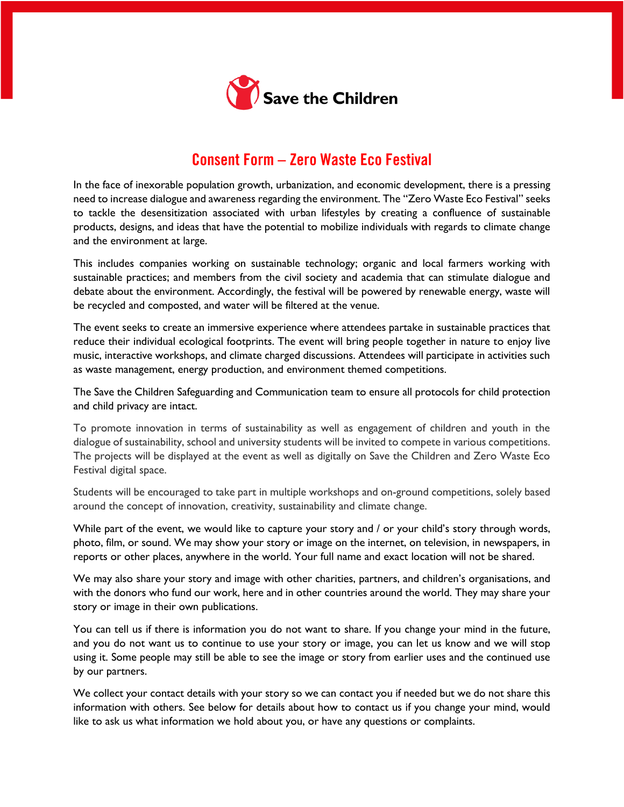

# Consent Form – Zero Waste Eco Festival

In the face of inexorable population growth, urbanization, and economic development, there is a pressing need to increase dialogue and awareness regarding the environment. The "Zero Waste Eco Festival" seeks to tackle the desensitization associated with urban lifestyles by creating a confluence of sustainable products, designs, and ideas that have the potential to mobilize individuals with regards to climate change and the environment at large.

This includes companies working on sustainable technology; organic and local farmers working with sustainable practices; and members from the civil society and academia that can stimulate dialogue and debate about the environment. Accordingly, the festival will be powered by renewable energy, waste will be recycled and composted, and water will be filtered at the venue.

The event seeks to create an immersive experience where attendees partake in sustainable practices that reduce their individual ecological footprints. The event will bring people together in nature to enjoy live music, interactive workshops, and climate charged discussions. Attendees will participate in activities such as waste management, energy production, and environment themed competitions.

The Save the Children Safeguarding and Communication team to ensure all protocols for child protection and child privacy are intact.

To promote innovation in terms of sustainability as well as engagement of children and youth in the dialogue of sustainability, school and university students will be invited to compete in various competitions. The projects will be displayed at the event as well as digitally on Save the Children and Zero Waste Eco Festival digital space.

Students will be encouraged to take part in multiple workshops and on-ground competitions, solely based around the concept of innovation, creativity, sustainability and climate change.

While part of the event, we would like to capture your story and / or your child's story through words, photo, film, or sound. We may show your story or image on the internet, on television, in newspapers, in reports or other places, anywhere in the world. Your full name and exact location will not be shared.

We may also share your story and image with other charities, partners, and children's organisations, and with the donors who fund our work, here and in other countries around the world. They may share your story or image in their own publications.

You can tell us if there is information you do not want to share. If you change your mind in the future, and you do not want us to continue to use your story or image, you can let us know and we will stop using it. Some people may still be able to see the image or story from earlier uses and the continued use by our partners.

We collect your contact details with your story so we can contact you if needed but we do not share this information with others. See below for details about how to contact us if you change your mind, would like to ask us what information we hold about you, or have any questions or complaints.